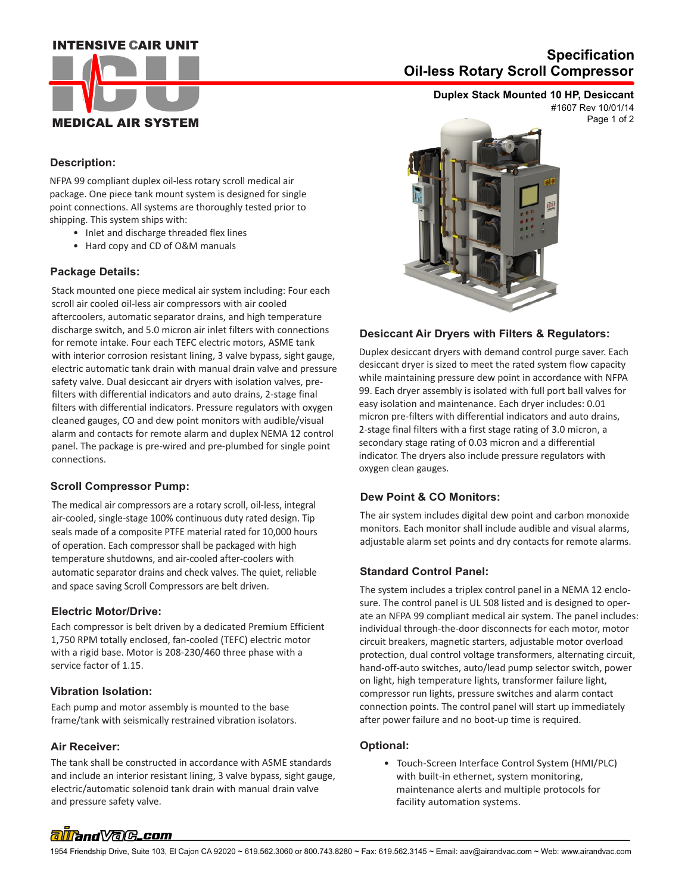### **INTENSIVE CAIR UNIT**



# **Oil-less Rotary Scroll Compressor Specification**

## **Duplex Stack Mounted 10 HP, Desiccant**

Page 1 of 2 #1607 Rev 10/01/14

#### **Description:**

NFPA 99 compliant duplex oil-less rotary scroll medical air package. One piece tank mount system is designed for single point connections. All systems are thoroughly tested prior to shipping. This system ships with:

- Inlet and discharge threaded flex lines
- Hard copy and CD of O&M manuals

#### **Package Details:**

Stack mounted one piece medical air system including: Four each scroll air cooled oil-less air compressors with air cooled aftercoolers, automatic separator drains, and high temperature discharge switch, and 5.0 micron air inlet filters with connections for remote intake. Four each TEFC electric motors, ASME tank with interior corrosion resistant lining, 3 valve bypass, sight gauge, electric automatic tank drain with manual drain valve and pressure safety valve. Dual desiccant air dryers with isolation valves, prefilters with differential indicators and auto drains, 2-stage final filters with differential indicators. Pressure regulators with oxygen cleaned gauges, CO and dew point monitors with audible/visual alarm and contacts for remote alarm and duplex NEMA 12 control panel. The package is pre-wired and pre-plumbed for single point connections.

#### **Scroll Compressor Pump:**

The medical air compressors are a rotary scroll, oil-less, integral air-cooled, single-stage 100% continuous duty rated design. Tip seals made of a composite PTFE material rated for 10,000 hours of operation. Each compressor shall be packaged with high temperature shutdowns, and air-cooled after-coolers with automatic separator drains and check valves. The quiet, reliable and space saving Scroll Compressors are belt driven.

#### **Electric Motor/Drive:**

Each compressor is belt driven by a dedicated Premium Efficient 1,750 RPM totally enclosed, fan-cooled (TEFC) electric motor with a rigid base. Motor is 208-230/460 three phase with a service factor of 1.15.

#### **Vibration Isolation:**

Each pump and motor assembly is mounted to the base frame/tank with seismically restrained vibration isolators.

#### **Air Receiver:**

 and pressure safety valve. The tank shall be constructed in accordance with ASME standards and include an interior resistant lining, 3 valve bypass, sight gauge, electric/automatic solenoid tank drain with manual drain valve



#### **Desiccant Air Dryers with Filters & Regulators:**

Duplex desiccant dryers with demand control purge saver. Each desiccant dryer is sized to meet the rated system flow capacity while maintaining pressure dew point in accordance with NFPA 99. Each dryer assembly is isolated with full port ball valves for easy isolation and maintenance. Each dryer includes: 0.01 micron pre-filters with differential indicators and auto drains, 2-stage final filters with a first stage rating of 3.0 micron, a secondary stage rating of 0.03 micron and a differential indicator. The dryers also include pressure regulators with oxygen clean gauges.

#### **Dew Point & CO Monitors:**

The air system includes digital dew point and carbon monoxide monitors. Each monitor shall include audible and visual alarms, adjustable alarm set points and dry contacts for remote alarms.

#### **Standard Control Panel:**

The system includes a triplex control panel in a NEMA 12 enclosure. The control panel is UL 508 listed and is designed to operate an NFPA 99 compliant medical air system. The panel includes: individual through-the-door disconnects for each motor, motor circuit breakers, magnetic starters, adjustable motor overload protection, dual control voltage transformers, alternating circuit, hand-off-auto switches, auto/lead pump selector switch, power on light, high temperature lights, transformer failure light, compressor run lights, pressure switches and alarm contact connection points. The control panel will start up immediately after power failure and no boot-up time is required.

#### **Optional:**

 • Touch-Screen Interface Control System (HMI/PLC) with built-in ethernet, system monitoring, maintenance alerts and multiple protocols for facility automation systems.

# alland Vale\_com

1954 Friendship Drive, Suite 103, El Cajon CA 92020 ~ 619.562.3060 or 800.743.8280 ~ Fax: 619.562.3145 ~ Email: aav@airandvac.com ~ Web: www.airandvac.com